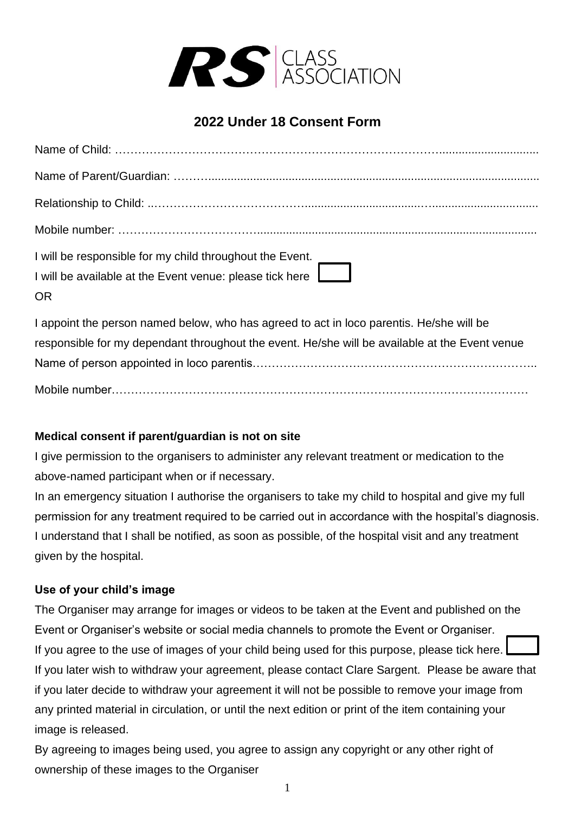

## **2022 Under 18 Consent Form**

| I will be responsible for my child throughout the Event. |
|----------------------------------------------------------|
| I will be available at the Event venue: please tick here |
| <b>OR</b>                                                |

I appoint the person named below, who has agreed to act in loco parentis. He/she will be responsible for my dependant throughout the event. He/she will be available at the Event venue Name of person appointed in loco parentis……………………………………………………………….. Mobile number………………………………………………………………………………………………

## **Medical consent if parent/guardian is not on site**

I give permission to the organisers to administer any relevant treatment or medication to the above-named participant when or if necessary.

In an emergency situation I authorise the organisers to take my child to hospital and give my full permission for any treatment required to be carried out in accordance with the hospital's diagnosis. I understand that I shall be notified, as soon as possible, of the hospital visit and any treatment given by the hospital.

## **Use of your child's image**

The Organiser may arrange for images or videos to be taken at the Event and published on the Event or Organiser's website or social media channels to promote the Event or Organiser. If you agree to the use of images of your child being used for this purpose, please tick here. If you later wish to withdraw your agreement, please contact Clare Sargent. Please be aware that if you later decide to withdraw your agreement it will not be possible to remove your image from any printed material in circulation, or until the next edition or print of the item containing your image is released.

By agreeing to images being used, you agree to assign any copyright or any other right of ownership of these images to the Organiser

1